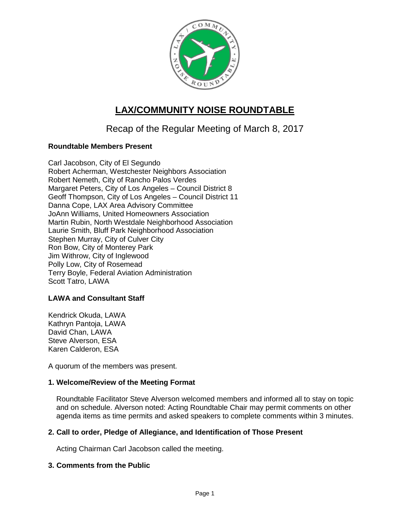

# **LAX/COMMUNITY NOISE ROUNDTABLE**

Recap of the Regular Meeting of March 8, 2017

## **Roundtable Members Present**

Carl Jacobson, City of El Segundo Robert Acherman, Westchester Neighbors Association Robert Nemeth, City of Rancho Palos Verdes Margaret Peters, City of Los Angeles – Council District 8 Geoff Thompson, City of Los Angeles – Council District 11 Danna Cope, LAX Area Advisory Committee JoAnn Williams, United Homeowners Association Martin Rubin, North Westdale Neighborhood Association Laurie Smith, Bluff Park Neighborhood Association Stephen Murray, City of Culver City Ron Bow, City of Monterey Park Jim Withrow, City of Inglewood Polly Low, City of Rosemead Terry Boyle, Federal Aviation Administration Scott Tatro, LAWA

## **LAWA and Consultant Staff**

Kendrick Okuda, LAWA Kathryn Pantoja, LAWA David Chan, LAWA Steve Alverson, ESA Karen Calderon, ESA

A quorum of the members was present.

## **1. Welcome/Review of the Meeting Format**

Roundtable Facilitator Steve Alverson welcomed members and informed all to stay on topic and on schedule. Alverson noted: Acting Roundtable Chair may permit comments on other agenda items as time permits and asked speakers to complete comments within 3 minutes.

## **2. Call to order, Pledge of Allegiance, and Identification of Those Present**

Acting Chairman Carl Jacobson called the meeting.

## **3. Comments from the Public**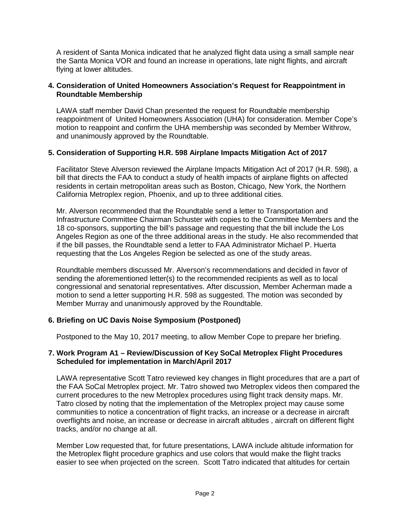A resident of Santa Monica indicated that he analyzed flight data using a small sample near the Santa Monica VOR and found an increase in operations, late night flights, and aircraft flying at lower altitudes.

### **4. Consideration of United Homeowners Association's Request for Reappointment in Roundtable Membership**

LAWA staff member David Chan presented the request for Roundtable membership reappointment of United Homeowners Association (UHA) for consideration. Member Cope's motion to reappoint and confirm the UHA membership was seconded by Member Withrow, and unanimously approved by the Roundtable.

## **5. Consideration of Supporting H.R. 598 Airplane Impacts Mitigation Act of 2017**

Facilitator Steve Alverson reviewed the Airplane Impacts Mitigation Act of 2017 (H.R. 598), a bill that directs the FAA to conduct a study of health impacts of airplane flights on affected residents in certain metropolitan areas such as Boston, Chicago, New York, the Northern California Metroplex region, Phoenix, and up to three additional cities.

Mr. Alverson recommended that the Roundtable send a letter to Transportation and Infrastructure Committee Chairman Schuster with copies to the Committee Members and the 18 co-sponsors, supporting the bill's passage and requesting that the bill include the Los Angeles Region as one of the three additional areas in the study. He also recommended that if the bill passes, the Roundtable send a letter to FAA Administrator Michael P. Huerta requesting that the Los Angeles Region be selected as one of the study areas.

Roundtable members discussed Mr. Alverson's recommendations and decided in favor of sending the aforementioned letter(s) to the recommended recipients as well as to local congressional and senatorial representatives. After discussion, Member Acherman made a motion to send a letter supporting H.R. 598 as suggested. The motion was seconded by Member Murray and unanimously approved by the Roundtable.

### **6. Briefing on UC Davis Noise Symposium (Postponed)**

Postponed to the May 10, 2017 meeting, to allow Member Cope to prepare her briefing.

### **7. Work Program A1 – Review/Discussion of Key SoCal Metroplex Flight Procedures Scheduled for implementation in March/April 2017**

LAWA representative Scott Tatro reviewed key changes in flight procedures that are a part of the FAA SoCal Metroplex project. Mr. Tatro showed two Metroplex videos then compared the current procedures to the new Metroplex procedures using flight track density maps. Mr. Tatro closed by noting that the implementation of the Metroplex project may cause some communities to notice a concentration of flight tracks, an increase or a decrease in aircraft overflights and noise, an increase or decrease in aircraft altitudes , aircraft on different flight tracks, and/or no change at all.

Member Low requested that, for future presentations, LAWA include altitude information for the Metroplex flight procedure graphics and use colors that would make the flight tracks easier to see when projected on the screen. Scott Tatro indicated that altitudes for certain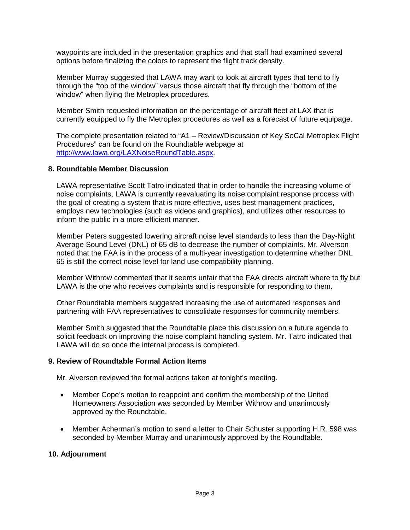waypoints are included in the presentation graphics and that staff had examined several options before finalizing the colors to represent the flight track density.

Member Murray suggested that LAWA may want to look at aircraft types that tend to fly through the "top of the window" versus those aircraft that fly through the "bottom of the window" when flying the Metroplex procedures.

Member Smith requested information on the percentage of aircraft fleet at LAX that is currently equipped to fly the Metroplex procedures as well as a forecast of future equipage.

The complete presentation related to "A1 – Review/Discussion of Key SoCal Metroplex Flight Procedures" can be found on the Roundtable webpage at [http://www.lawa.org/LAXNoiseRoundTable.aspx.](http://www.lawa.org/LAXNoiseRoundTable.aspx)

#### **8. Roundtable Member Discussion**

LAWA representative Scott Tatro indicated that in order to handle the increasing volume of noise complaints, LAWA is currently reevaluating its noise complaint response process with the goal of creating a system that is more effective, uses best management practices, employs new technologies (such as videos and graphics), and utilizes other resources to inform the public in a more efficient manner.

Member Peters suggested lowering aircraft noise level standards to less than the Day-Night Average Sound Level (DNL) of 65 dB to decrease the number of complaints. Mr. Alverson noted that the FAA is in the process of a multi-year investigation to determine whether DNL 65 is still the correct noise level for land use compatibility planning.

Member Withrow commented that it seems unfair that the FAA directs aircraft where to fly but LAWA is the one who receives complaints and is responsible for responding to them.

Other Roundtable members suggested increasing the use of automated responses and partnering with FAA representatives to consolidate responses for community members.

Member Smith suggested that the Roundtable place this discussion on a future agenda to solicit feedback on improving the noise complaint handling system. Mr. Tatro indicated that LAWA will do so once the internal process is completed.

### **9. Review of Roundtable Formal Action Items**

Mr. Alverson reviewed the formal actions taken at tonight's meeting.

- Member Cope's motion to reappoint and confirm the membership of the United Homeowners Association was seconded by Member Withrow and unanimously approved by the Roundtable.
- Member Acherman's motion to send a letter to Chair Schuster supporting H.R. 598 was seconded by Member Murray and unanimously approved by the Roundtable.

#### **10. Adjournment**